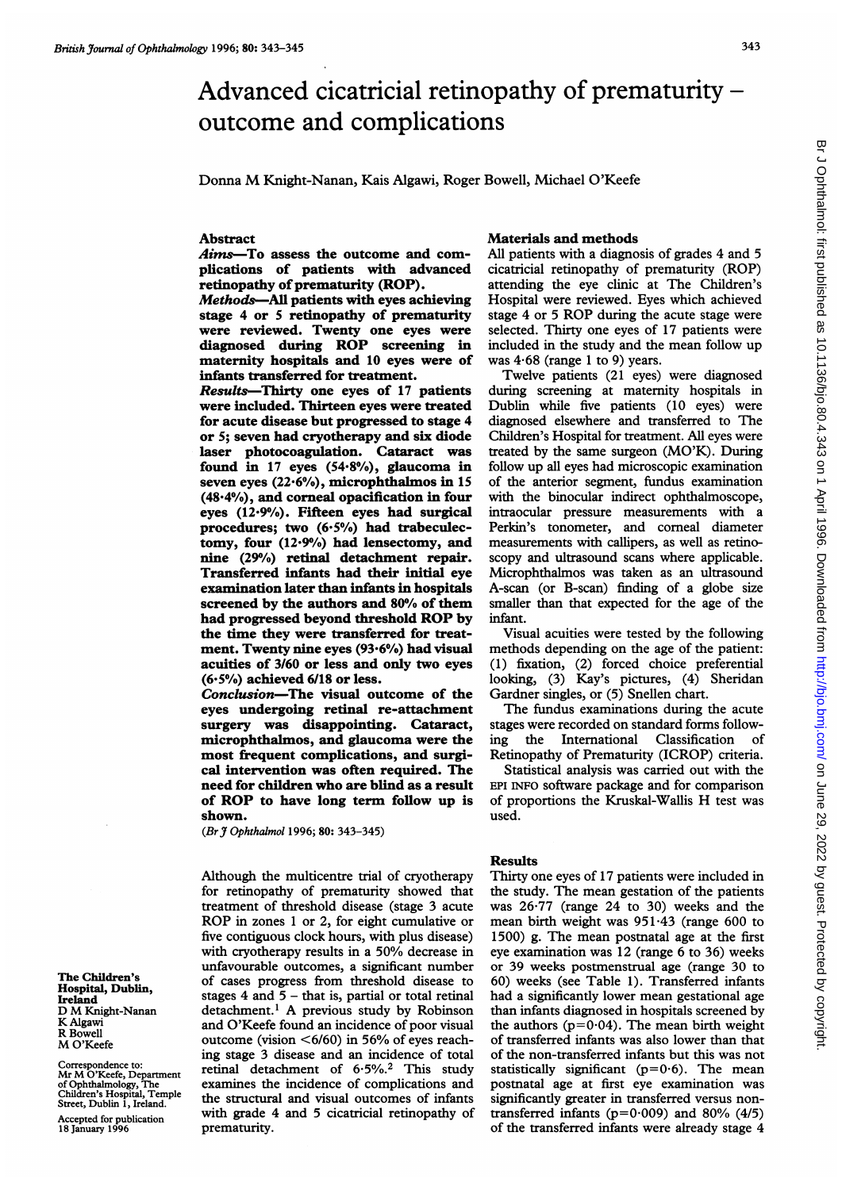# Advanced cicatricial retinopathy of prematurity – outcome and complications

Donna M Knight-Nanan, Kais Algawi, Roger Bowell, Michael O'Keefe

## Abstract

Aims-To assess the outcome and complications of patients with advanced retinopathy of prematurity (ROP).

Methods-AJl patients with eyes achieving stage 4 or 5 retinopathy of prematurity were reviewed. Twenty one eyes were diagnosed during ROP screening in maternity hospitals and 10 eyes were of infants transferred for treatment.

Results-Thirty one eyes of 17 patients were included. Thirteen eyes were treated for acute disease but progressed to stage 4 or 5; seven had cryotherapy and six diode laser photocoagulation. Cataract was found in 17 eyes  $(54.8\%)$ , glaucoma in seven eyes (22.6%), microphthalmos in 15 (48 4%), and corneal opacification in four eyes  $(12.9%)$ . Fifteen eyes had surgical procedures; two  $(6.5\%)$  had trabeculectomy, four (12.9%) had lensectomy, and nine (29%) retinal detachment repair. Transferred infants had their initial eye examination later than infants in hospitals screened by the authors and 80% of them had progressed beyond threshold ROP by the time they were transferred for treatment. Twenty nine eyes  $(93.6%)$  had visual acuities of 3/60 or less and only two eyes  $(6.5\%)$  achieved  $6/18$  or less.

Conclusion-The visual outcome of the eyes undergoing retinal re-attachment surgery was disappointing. Cataract, microphthalmos, and glaucoma were the most frequent complications, and surgical intervention was often required. The need for children who are blind as a result of ROP to have long term follow up is shown.

(Br J Ophthalmol 1996; 80: 343-345)

Although the multicentre trial of cryotherapy for retinopathy of prematurity showed that treatment of threshold disease (stage 3 acute ROP in zones <sup>1</sup> or 2, for eight cumulative or five contiguous clock hours, with plus disease) with cryotherapy results in <sup>a</sup> 50% decrease in unfavourable outcomes, a significant number of cases progress from threshold disease to stages  $4$  and  $5 -$  that is, partial or total retinal detachment.' A previous study by Robinson and O'Keefe found an incidence of poor visual outcome (vision  $\leq 6/60$ ) in 56% of eyes reaching stage 3 disease and an incidence of total retinal detachment of 6.5%.<sup>2</sup> This study examines the incidence of complications and the structural and visual outcomes of infants with grade 4 and 5 cicatricial retinopathy of prematurity.

## Materials and methods

All patients with a diagnosis of grades 4 and 5 cicatricial retinopathy of prematurity (ROP) attending the eye clinic at The Children's Hospital were reviewed. Eyes which achieved stage 4 or <sup>5</sup> ROP during the acute stage were selected. Thirty one eyes of 17 patients were included in the study and the mean follow up was  $4.68$  (range 1 to 9) years.

Twelve patients (21 eyes) were diagnosed during screening at maternity hospitals in Dublin while five patients (10 eyes) were diagnosed elsewhere and transferred to The Children's Hospital for treatment. All eyes were treated by the same surgeon (MO'K). During follow up all eyes had microscopic examination of the anterior segment, fundus examination with the binocular indirect ophthalmoscope, intraocular pressure measurements with a Perkin's tonometer, and corneal diameter measurements with callipers, as well as retinoscopy and ultrasound scans where applicable. Microphthalmos was taken as an ultrasound A-scan (or B-scan) finding of a globe size smaller than that expected for the age of the infant.

Visual acuities were tested by the following methods depending on the age of the patient: (1) fixation, (2) forced choice preferential looking, (3) Kay's pictures, (4) Sheridan Gardner singles, or (5) Snellen chart.

The fundus examinations during the acute stages were recorded on standard forms following the International Classification of Retinopathy of Prematurity (ICROP) criteria.

Statistical analysis was carried out with the EPI INFO software package and for comparison of proportions the Kruskal-Wallis H test was used.

#### Results

Thirty one eyes of 17 patients were included in the study. The mean gestation of the patients was 26-77 (range 24 to 30) weeks and the mean birth weight was 951-43 (range 600 to 1500) g. The mean postnatal age at the first eye examination was 12 (range 6 to 36) weeks or 39 weeks postmenstrual age (range 30 to 60) weeks (see Table 1). Transferred infants had a significantly lower mean gestational age than infants diagnosed in hospitals screened by the authors  $(p=0.04)$ . The mean birth weight of transferred infants was also lower than that of the non-transferred infants but this was not statistically significant ( $p=0.6$ ). The mean postnatal age at first eye examination was significantly greater in transferred versus nontransferred infants ( $p=0.009$ ) and 80% (4/5) of the transferred infants were already stage 4

The Children's Hospital, Dublin, Ireland D M Knight-Nanan K Algawi R Bowell M O'Keefe

Correspondence to: Mr M O'Keefe, Department of Ophthalmology, The Children's Hospital, Temple Street, Dublin 1, Ireland.

Accepted for publication 18 January 1996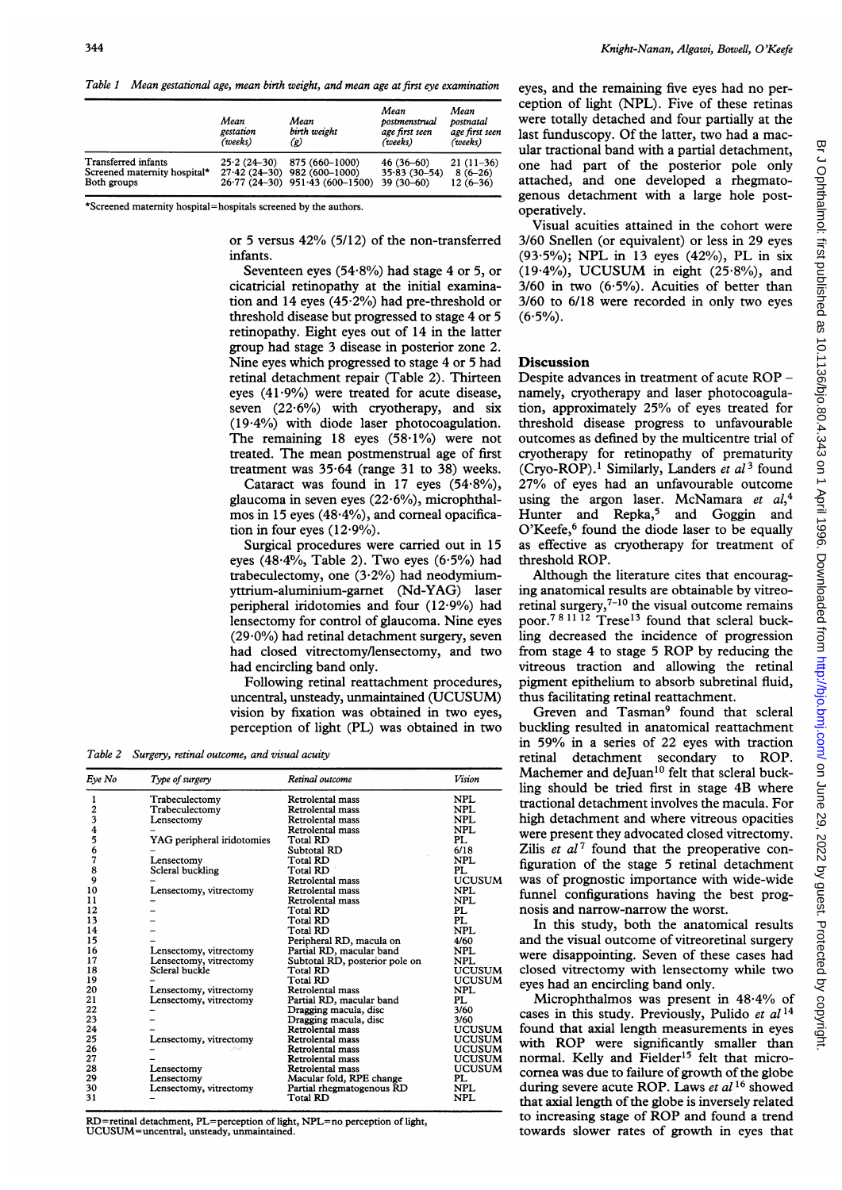Table <sup>1</sup> Mean gestational age, mean birth weight, and mean age at first eye examination

|                              | Mean<br>gestation<br>(weeks) | Mean<br>birth weight<br>(g)      | Mean<br>postmenstrual<br>age first seen<br>(weeks) | Mean<br>postnatal<br>age first seen<br>(weeks) |
|------------------------------|------------------------------|----------------------------------|----------------------------------------------------|------------------------------------------------|
| <b>Transferred</b> infants   | $25.2(24-30)$                | 875 (660-1000)                   | $46(36-60)$                                        | $21(11-36)$                                    |
| Screened maternity hospital* |                              | $27.42(24-30)$ 982 (600-1000)    | $35.83(30 - 54)$                                   | $8(6-26)$                                      |
| Both groups                  |                              | $26.77(24-30)$ 951.43 (600-1500) | $39(30-60)$                                        | $12(6-36)$                                     |

\*Screened maternity hospital=hospitals screened by the authors.

or <sup>5</sup> versus 42% (5/12) of the non-transferred infants.

Seventeen eyes (54 $\cdot$ 8%) had stage 4 or 5, or cicatricial retinopathy at the initial examination and 14 eyes  $(45.2%)$  had pre-threshold or threshold disease but progressed to stage 4 or 5 retinopathy. Eight eyes out of 14 in the latter group had stage 3 disease in posterior zone 2. Nine eyes which progressed to stage 4 or 5 had retinal detachment repair (Table 2). Thirteen eyes  $(41.9\%)$  were treated for acute disease, seven  $(22.6\%)$  with cryotherapy, and six (1944%) with diode laser photocoagulation. The remaining  $18$  eyes  $(58.1\%)$  were not treated. The mean postmenstrual age of first treatment was  $35.64$  (range 31 to 38) weeks.

Cataract was found in 17 eyes  $(54.8\%)$ , glaucoma in seven eyes  $(22.6\%)$ , microphthalmos in 15 eyes  $(48.4\%)$ , and corneal opacification in four eyes  $(12.9\%)$ .

Surgical procedures were carried out in 15 eyes  $(48.4\%,$  Table 2). Two eyes  $(6.5\%)$  had trabeculectomy, one  $(3.2%)$  had neodymiumyttrium-aluminium-garnet (Nd-YAG) laser peripheral iridotomies and four (12'9%) had lensectomy for control of glaucoma. Nine eyes  $(29.0\%)$  had retinal detachment surgery, seven had closed vitrectomy/lensectomy, and two had encircling band only.

Following retinal reattachment procedures, uncentral, unsteady, unmaintained (UCUSUM) vision by fixation was obtained in two eyes, perception of light (PL) was obtained in two

Table 2 Surgery, retinal outcome, and visual acuity

| Eye No | Type of surgery            | Retinal outcome                | Vision        |
|--------|----------------------------|--------------------------------|---------------|
|        |                            |                                |               |
|        | Trabeculectomy             | Retrolental mass               | <b>NPL</b>    |
| 2      | Trabeculectomy             | Retrolental mass               | NPL.          |
| 3      | Lensectomy                 | Retrolental mass               | NPL.          |
|        |                            | Retrolental mass               | <b>NPL</b>    |
| 5      | YAG peripheral iridotomies | Total RD                       | PI.           |
| 6      |                            | Subtotal RD                    | 6/18          |
| 7      | Lensectomy                 | Total RD                       | <b>NPL</b>    |
| 8      | Scleral buckling           | Total RD                       | PL            |
| 9      |                            | Retrolental mass               | <b>UCUSUM</b> |
| 10     | Lensectomy, vitrectomy     | Retrolental mass               | <b>NPL</b>    |
| 11     |                            | Retrolental mass               | <b>NPL</b>    |
| 12     |                            | Total RD                       | PL            |
| 13     |                            | Total RD                       | PL            |
| 14     |                            | Total RD                       | NPI.          |
| 15     |                            | Peripheral RD, macula on       | 4/60          |
| 16     | Lensectomy, vitrectomy     | Partial RD, macular band       | <b>NPL</b>    |
| 17     | Lensectomy, vitrectomy     | Subtotal RD, posterior pole on | <b>NPL</b>    |
| 18     | Scleral buckle             | Total RD                       | <b>UCUSUM</b> |
| 19     |                            | Total RD                       | <b>UCUSUM</b> |
| 20     | Lensectomy, vitrectomy     | Retrolental mass               | <b>NPL</b>    |
| 21     | Lensectomy, vitrectomy     | Partial RD, macular band       | PL            |
| 22     |                            | Dragging macula, disc          | 3/60          |
| 23     |                            | Dragging macula, disc          | 3/60          |
| 24     |                            | Retrolental mass               | UCUSUM        |
| 25     | Lensectomy, vitrectomy     | Retrolental mass               | UCUSUM        |
| 26     |                            | Retrolental mass               | UCUSUM        |
| 27     |                            | <b>Retrolental mass</b>        | <b>UCUSUM</b> |
| 28     | Lensectomy                 | Retrolental mass               | <b>UCUSUM</b> |
| 29     | Lensectomy                 | Macular fold, RPE change       | PL.           |
| 30     | Lensectomy, vitrectomy     | Partial rhegmatogenous RD      | NPI.          |
| 31     |                            | Total RD                       | <b>NPL</b>    |

RD=retinal detachment, PL=perception of light, NPL=no perception of light, UCUSUM=uncentral, unsteady, unmaintained.

eyes, and the remaining five eyes had no perception of light (NPL). Five of these retinas were totally detached and four partially at the last funduscopy. Of the latter, two had a macular tractional band with a partial detachment, one had part of the posterior pole only attached, and one developed a rhegmatogenous detachment with a large hole postoperatively.

Visual acuities attained in the cohort were 3/60 Snellen (or equivalent) or less in 29 eyes (93'5%); NPL in <sup>13</sup> eyes (42%), PL in six (19.4%), UCUSUM in eight  $(25.8\%)$ , and  $3/60$  in two  $(6.5\%)$ . Acuities of better than 3/60 to 6/18 were recorded in only two eyes  $(6.5\%)$ .

#### **Discussion**

Despite advances in treatment of acute ROP namely, cryotherapy and laser photocoagulation, approximately 25% of eyes treated for threshold disease progress to unfavourable outcomes as defined by the multicentre trial of cryotherapy for retinopathy of prematurity (Cryo-ROP).<sup>1</sup> Similarly, Landers et  $al^3$  found 27% of eyes had an unfavourable outcome using the argon laser. McNamara et  $al_1^4$ Hunter and Repka,<sup>5</sup> and Goggin and O'Keefe,<sup>6</sup> found the diode laser to be equally as effective as cryotherapy for treatment of threshold ROP.

Although the literature cites that encouraging anatomical results are obtainable by vitreoretinal surgery, $7-10$  the visual outcome remains poor.<sup>78 11 12</sup> Trese<sup>13</sup> found that scleral buckling decreased the incidence of progression from stage <sup>4</sup> to stage <sup>5</sup> ROP by reducing the vitreous traction and allowing the retinal pigment epithelium to absorb subretinal fluid, thus facilitating retinal reattachment.

Greven and Tasman<sup>9</sup> found that scleral buckling resulted in anatomical reattachment in 59% in <sup>a</sup> series of 22 eyes with traction retinal detachment secondary to ROP. Machemer and deJuan<sup>10</sup> felt that scleral buckling should be tried first in stage 4B where tractional detachment involves the macula. For high detachment and where vitreous opacities were present they advocated closed vitrectomy. Zilis *et al*<sup>7</sup> found that the preoperative configuration of the stage 5 retinal detachment was of prognostic importance with wide-wide funnel configurations having the best prognosis and narrow-narrow the worst.

In this study, both the anatomical results and the visual outcome of vitreoretinal surgery were disappointing. Seven of these cases had closed vitrectomy with lensectomy while two eyes had an encircling band only.

Microphthalmos was present in 48-4% of cases in this study. Previously, Pulido et  $al^{14}$ found that axial length measurements in eyes with ROP were significantly smaller than normal. Kelly and Fielder<sup>15</sup> felt that microcornea was due to failure of growth of the globe during severe acute ROP. Laws et al<sup>16</sup> showed that axial length of the globe is inversely related to increasing stage of ROP and found <sup>a</sup> trend towards slower rates of growth in eyes that